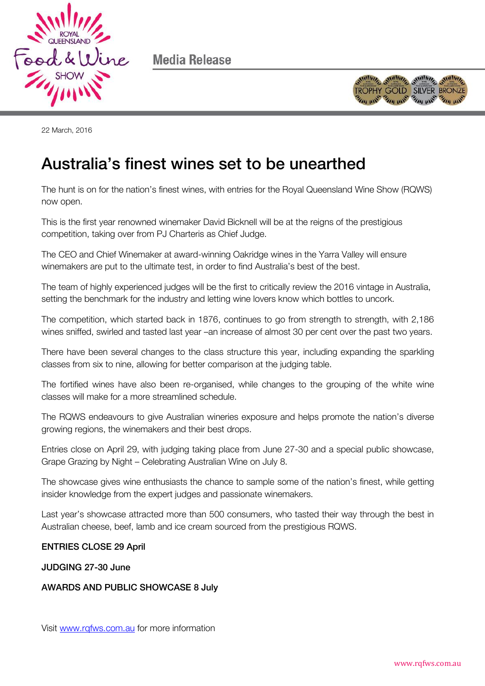

Media Release



22 March, 2016

## Australia's finest wines set to be unearthed Australia's finest wines set to be unearthed

The hunt is on for the nation's finest wines, with entries for the Royal Queensland Wine Show (RQWS) now open.

This is the first year renowned winemaker David Bicknell will be at the reigns of the prestigious competition, taking over from PJ Charteris as Chief Judge.

The CEO and Chief Winemaker at award-winning Oakridge wines in the Yarra Valley will ensure winemakers are put to the ultimate test, in order to find Australia's best of the best.

The team of highly experienced judges will be the first to critically review the 2016 vintage in Australia, setting the benchmark for the industry and letting wine lovers know which bottles to uncork.

The competition, which started back in 1876, continues to go from strength to strength, with 2,186 wines sniffed, swirled and tasted last year –an increase of almost 30 per cent over the past two years.

There have been several changes to the class structure this year, including expanding the sparkling classes from six to nine, allowing for better comparison at the judging table.

The fortified wines have also been re-organised, while changes to the grouping of the white wine classes will make for a more streamlined schedule.

The RQWS endeavours to give Australian wineries exposure and helps promote the nation's diverse growing regions, the winemakers and their best drops.

Entries close on April 29, with judging taking place from June 27-30 and a special public showcase, Grape Grazing by Night – Celebrating Australian Wine on July 8.

The showcase gives wine enthusiasts the chance to sample some of the nation's finest, while getting insider knowledge from the expert judges and passionate winemakers.

Last year's showcase attracted more than 500 consumers, who tasted their way through the best in Australian cheese, beef, lamb and ice cream sourced from the prestigious RQWS.

## ENTRIES CLOSE 29 April

## JUDGING 27-30 June JUDGING 27-30 June

## AWARDS AND PUBLIC SHOWCASE 8 July

Visit [www.rqfws.com.au](http://www.rqfws.com.au/) for more information